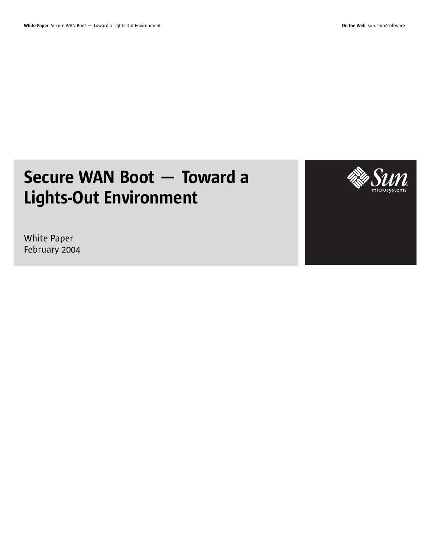# Secure WAN Boot — Toward a Lights-Out Environment

White Paper February 2004

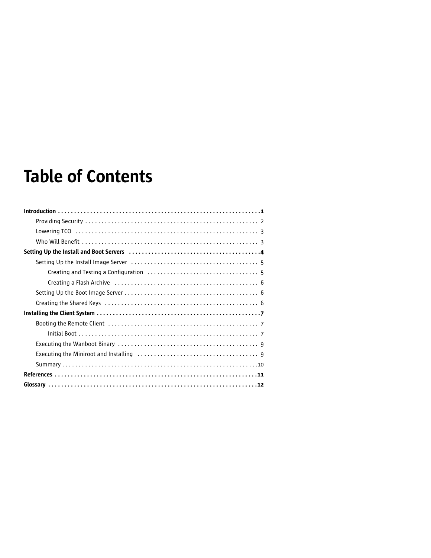# Table of Contents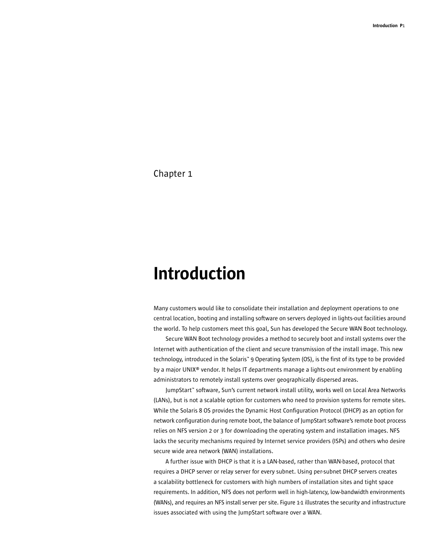# Introduction

Many customers would like to consolidate their installation and deployment operations to one central location, booting and installing software on servers deployed in lights-out facilities around the world. To help customers meet this goal, Sun has developed the Secure WAN Boot technology.

Secure WAN Boot technology provides a method to securely boot and install systems over the Internet with authentication of the client and secure transmission of the install image. This new technology, introduced in the Solaris™ 9 Operating System (OS), is the first of its type to be provided by a major UNIX® vendor. It helps IT departments manage a lights-out environment by enabling administrators to remotely install systems over geographically dispersed areas.

JumpStart™ software, Sun's current network install utility, works well on Local Area Networks (LANs), but is not a scalable option for customers who need to provision systems for remote sites. While the Solaris 8 OS provides the Dynamic Host Configuration Protocol (DHCP) as an option for network configuration during remote boot, the balance of JumpStart software's remote boot process relies on NFS version 2 or 3 for downloading the operating system and installation images. NFS lacks the security mechanisms required by Internet service providers (ISPs) and others who desire secure wide area network (WAN) installations.

A further issue with DHCP is that it is a LAN-based, rather than WAN-based, protocol that requires a DHCP server or relay server for every subnet. Using per-subnet DHCP servers creates a scalability bottleneck for customers with high numbers of installation sites and tight space requirements. In addition, NFS does not perform well in high-latency, low-bandwidth environments (WANs), and requires an NFS install server per site. Figure 1-1 illustrates the security and infrastructure issues associated with using the JumpStart software over a WAN.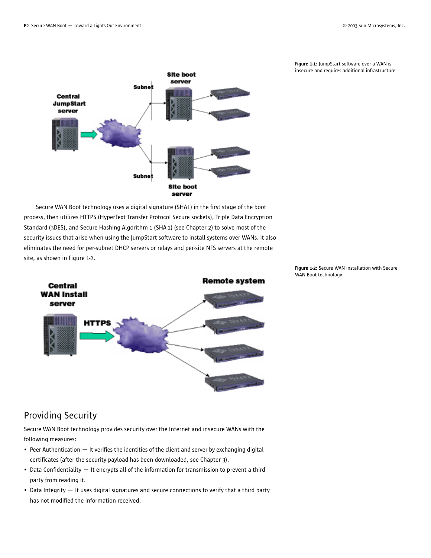

Secure WAN Boot technology uses a digital signature (SHA1) in the first stage of the boot process, then utilizes HTTPS (HyperText Transfer Protocol Secure sockets), Triple Data Encryption Standard (3DES), and Secure Hashing Algorithm 1 (SHA-1) (see Chapter 2) to solve most of the security issues that arise when using the JumpStart software to install systems over WANs. It also eliminates the need for per-subnet DHCP servers or relays and per-site NFS servers at the remote site, as shown in Figure 1-2.



#### Figure 1-2: Secure WAN installation with Secure WAN Boot technology

## Providing Security

Secure WAN Boot technology provides security over the Internet and insecure WANs with the following measures:

- Peer Authentication It verifies the identities of the client and server by exchanging digital certificates (after the security payload has been downloaded, see Chapter 3).
- Data Confidentiality It encrypts all of the information for transmission to prevent a third party from reading it.
- Data Integrity It uses digital signatures and secure connections to verify that a third party has not modified the information received.

Figure 1-1: JumpStart software over a WAN is insecure and requires additional infrastructure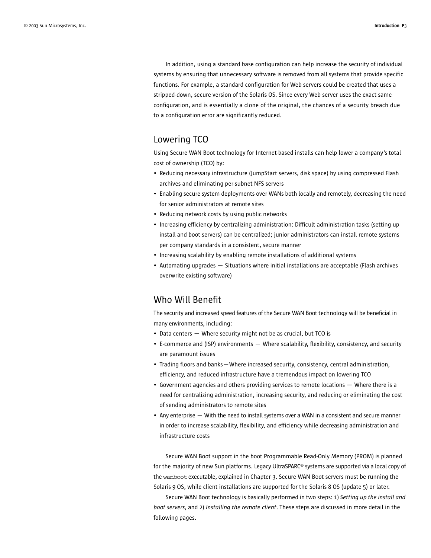In addition, using a standard base configuration can help increase the security of individual systems by ensuring that unnecessary software is removed from all systems that provide specific functions. For example, a standard configuration for Web servers could be created that uses a stripped-down, secure version of the Solaris OS. Since every Web server uses the exact same configuration, and is essentially a clone of the original, the chances of a security breach due to a configuration error are significantly reduced.

## Lowering TCO

Using Secure WAN Boot technology for Internet-based installs can help lower a company's total cost of ownership (TCO) by:

- Reducing necessary infrastructure (JumpStart servers, disk space) by using compressed Flash archives and eliminating per-subnet NFS servers
- Enabling secure system deployments over WANs both locally and remotely, decreasing the need for senior administrators at remote sites
- Reducing network costs by using public networks
- Increasing efficiency by centralizing administration: Difficult administration tasks (setting up install and boot servers) can be centralized; junior administrators can install remote systems per company standards in a consistent, secure manner
- Increasing scalability by enabling remote installations of additional systems
- Automating upgrades Situations where initial installations are acceptable (Flash archives overwrite existing software)

## Who Will Benefit

The security and increased speed features of the Secure WAN Boot technology will be beneficial in many environments, including:

- Data centers Where security might not be as crucial, but TCO is
- E-commerce and (ISP) environments Where scalability, flexibility, consistency, and security are paramount issues
- Trading floors and banks—Where increased security, consistency, central administration, efficiency, and reduced infrastructure have a tremendous impact on lowering TCO
- Government agencies and others providing services to remote locations Where there is a need for centralizing administration, increasing security, and reducing or eliminating the cost of sending administrators to remote sites
- Any enterprise With the need to install systems over a WAN in a consistent and secure manner in order to increase scalability, flexibility, and efficiency while decreasing administration and infrastructure costs

Secure WAN Boot support in the boot Programmable Read-Only Memory (PROM) is planned for the majority of new Sun platforms. Legacy UltraSPARC® systems are supported via a local copy of the wanboot executable, explained in Chapter 3. Secure WAN Boot servers must be running the Solaris 9 OS, while client installations are supported for the Solaris 8 OS (update 5) or later.

Secure WAN Boot technology is basically performed in two steps: 1) *Setting up the install and boot servers*, and 2) *Installing the remote client*. These steps are discussed in more detail in the following pages.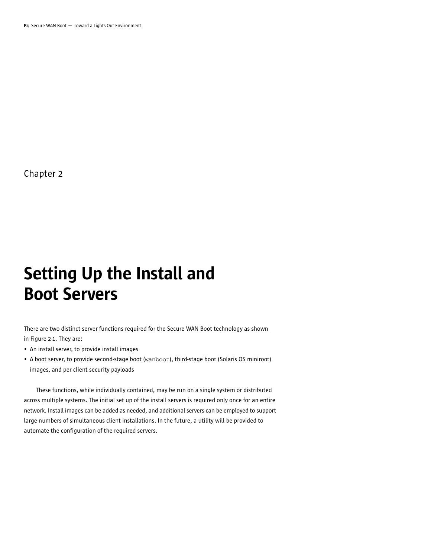# Setting Up the Install and Boot Servers

There are two distinct server functions required for the Secure WAN Boot technology as shown in Figure 2-1. They are:

- An install server, to provide install images
- A boot server, to provide second-stage boot (wanboot), third-stage boot (Solaris OS miniroot) images, and per-client security payloads

These functions, while individually contained, may be run on a single system or distributed across multiple systems. The initial set up of the install servers is required only once for an entire network. Install images can be added as needed, and additional servers can be employed to support large numbers of simultaneous client installations. In the future, a utility will be provided to automate the configuration of the required servers.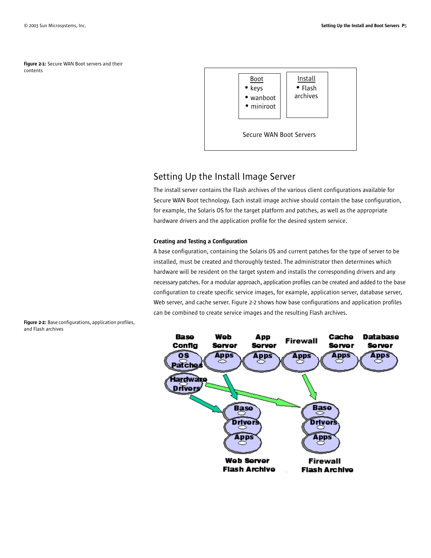Figure 2-1: Secure WAN Boot servers and their contents



# Setting Up the Install Image Server

The install server contains the Flash archives of the various client configurations available for Secure WAN Boot technology. Each install image archive should contain the base configuration, for example, the Solaris OS for the target platform and patches, as well as the appropriate hardware drivers and the application profile for the desired system service.

#### Creating and Testing a Configuration

A base configuration, containing the Solaris OS and current patches for the type of server to be installed, must be created and thoroughly tested. The administrator then determines which hardware will be resident on the target system and installs the corresponding drivers and any necessary patches. For a modular approach, application profiles can be created and added to the base configuration to create specific service images, for example, application server, database server, Web server, and cache server. Figure 2-2 shows how base configurations and application profiles can be combined to create service images and the resulting Flash archives.



Figure 2-2: Base configurations, application profiles, and Flash archives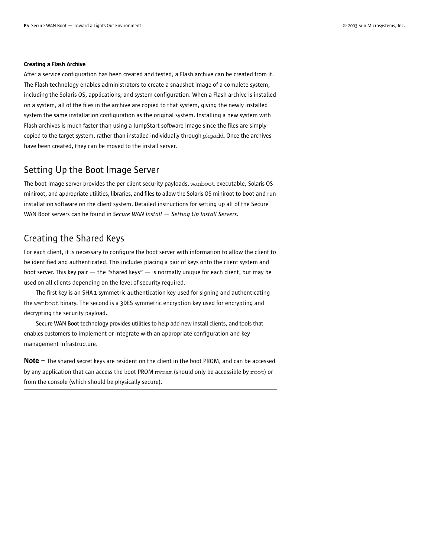#### Creating a Flash Archive

After a service configuration has been created and tested, a Flash archive can be created from it. The Flash technology enables administrators to create a snapshot image of a complete system, including the Solaris OS, applications, and system configuration. When a Flash archive is installed on a system, all of the files in the archive are copied to that system, giving the newly installed system the same installation configuration as the original system. Installing a new system with Flash archives is much faster than using a JumpStart software image since the files are simply copied to the target system, rather than installed individually through pkgadd. Once the archives have been created, they can be moved to the install server.

#### Setting Up the Boot Image Server

The boot image server provides the per-client security payloads, wanboot executable, Solaris OS miniroot, and appropriate utilities, libraries, and files to allow the Solaris OS miniroot to boot and run installation software on the client system. Detailed instructions for setting up all of the Secure WAN Boot servers can be found in *Secure WAN Install — Setting Up Install Servers*.

### Creating the Shared Keys

For each client, it is necessary to configure the boot server with information to allow the client to be identified and authenticated. This includes placing a pair of keys onto the client system and boot server. This key pair  $-$  the "shared keys"  $-$  is normally unique for each client, but may be used on all clients depending on the level of security required.

The first key is an SHA-1 symmetric authentication key used for signing and authenticating the wanboot binary. The second is a 3DES symmetric encryption key used for encrypting and decrypting the security payload.

Secure WAN Boot technology provides utilities to help add new install clients, and tools that enables customers to implement or integrate with an appropriate configuration and key management infrastructure.

Note – The shared secret keys are resident on the client in the boot PROM, and can be accessed by any application that can access the boot PROM nvram (should only be accessible by root) or from the console (which should be physically secure).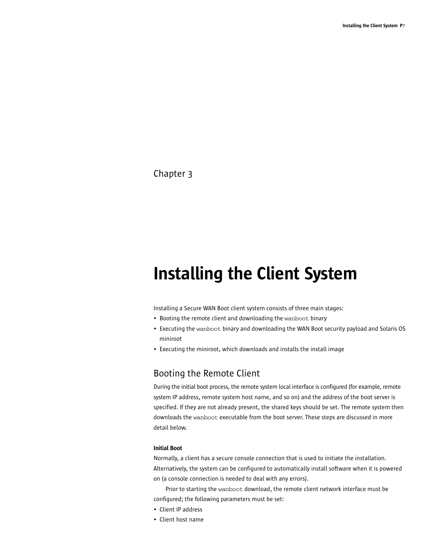# Installing the Client System

Installing a Secure WAN Boot client system consists of three main stages:

- Booting the remote client and downloading the wanboot binary
- Executing the wanboot binary and downloading the WAN Boot security payload and Solaris OS miniroot
- Executing the miniroot, which downloads and installs the install image

### Booting the Remote Client

During the initial boot process, the remote system local interface is configured (for example, remote system IP address, remote system host name, and so on) and the address of the boot server is specified. If they are not already present, the shared keys should be set. The remote system then downloads the wanboot executable from the boot server. These steps are discussed in more detail below.

#### Initial Boot

Normally, a client has a secure console connection that is used to initiate the installation. Alternatively, the system can be configured to automatically install software when it is powered on (a console connection is needed to deal with any errors).

Prior to starting the wanboot download, the remote client network interface must be configured; the following parameters must be set:

- Client IP address
- Client host name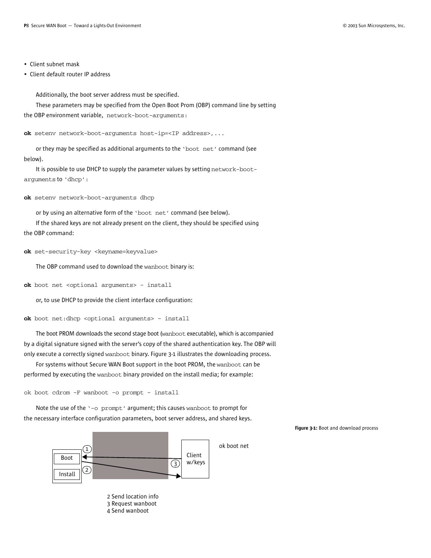- Client subnet mask
- Client default router IP address

Additionally, the boot server address must be specified. These parameters may be specified from the Open Boot Prom (OBP) command line by setting the OBP environment variable, network-boot-arguments:

**ok** setenv network-boot-arguments host-ip=<IP address>,...

or they may be specified as additional arguments to the 'boot net' command (see below).

It is possible to use DHCP to supply the parameter values by setting network-bootarguments to 'dhcp':

**ok** setenv network-boot-arguments dhcp

or by using an alternative form of the 'boot net' command (see below). If the shared keys are not already present on the client, they should be specified using

the OBP command:

```
ok set-security-key <keyname=keyvalue>
```
The OBP command used to download the wanboot binary is:

**ok** boot net <optional arguments> - install

or, to use DHCP to provide the client interface configuration:

```
ok boot net:dhcp <optional arguments> - install
```
The boot PROM downloads the second stage boot (wanboot executable), which is accompanied by a digital signature signed with the server's copy of the shared authentication key. The OBP will only execute a correctly signed wanboot binary. Figure 3-1 illustrates the downloading process.

For systems without Secure WAN Boot support in the boot PROM, the wanboot can be performed by executing the wanboot binary provided on the install media; for example:

ok boot cdrom -F wanboot -o prompt - install

Note the use of the '-o prompt' argument; this causes wanboot to prompt for the necessary interface configuration parameters, boot server address, and shared keys.



4 Send wanboot

Figure 3-1: Boot and download process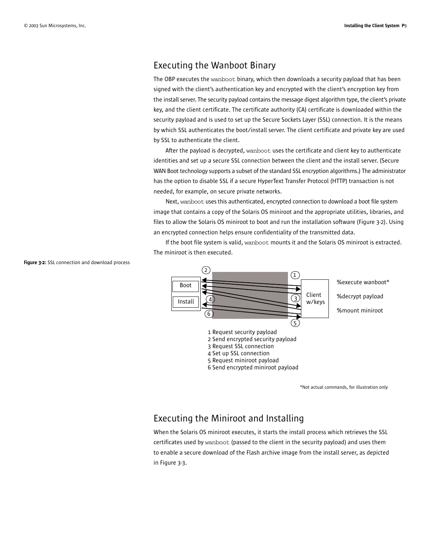### Executing the Wanboot Binary

The OBP executes the wanboot binary, which then downloads a security payload that has been signed with the client's authentication key and encrypted with the client's encryption key from the install server. The security payload contains the message digest algorithm type, the client's private key, and the client certificate. The certificate authority (CA) certificate is downloaded within the security payload and is used to set up the Secure Sockets Layer (SSL) connection. It is the means by which SSL authenticates the boot/install server. The client certificate and private key are used by SSL to authenticate the client.

After the payload is decrypted, wanboot uses the certificate and client key to authenticate identities and set up a secure SSL connection between the client and the install server. (Secure WAN Boot technology supports a subset of the standard SSL encryption algorithms.) The administrator has the option to disable SSL if a secure HyperText Transfer Protocol (HTTP) transaction is not needed, for example, on secure private networks.

Next, wanboot uses this authenticated, encrypted connection to download a boot file system image that contains a copy of the Solaris OS miniroot and the appropriate utilities, libraries, and files to allow the Solaris OS miniroot to boot and run the installation software (Figure 3-2). Using an encrypted connection helps ensure confidentiality of the transmitted data.

If the boot file system is valid, wanboot mounts it and the Solaris OS miniroot is extracted. The miniroot is then executed.



\*Not actual commands, for illustration only

### Executing the Miniroot and Installing

When the Solaris OS miniroot executes, it starts the install process which retrieves the SSL certificates used by wanboot (passed to the client in the security payload) and uses them to enable a secure download of the Flash archive image from the install server, as depicted in Figure 3-3.

Figure 3-2: SSL connection and download process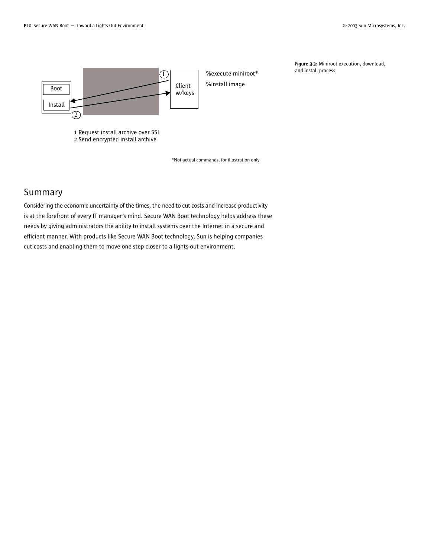

1 Request install archive over SSL 2 Send encrypted install archive

\*Not actual commands, for illustration only

## Summary

Considering the economic uncertainty of the times, the need to cut costs and increase productivity is at the forefront of every IT manager's mind. Secure WAN Boot technology helps address these needs by giving administrators the ability to install systems over the Internet in a secure and efficient manner. With products like Secure WAN Boot technology, Sun is helping companies cut costs and enabling them to move one step closer to a lights-out environment.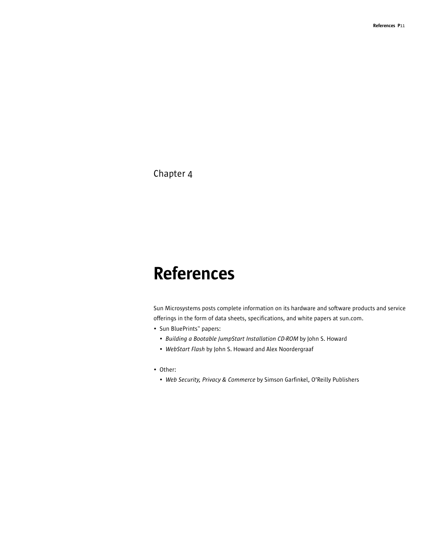# References

Sun Microsystems posts complete information on its hardware and software products and service offerings in the form of data sheets, specifications, and white papers at sun.com.

- Sun BluePrints™ papers:
	- *Building a Bootable JumpStart Installation CD-ROM* by John S. Howard
	- *WebStart Flash* by John S. Howard and Alex Noordergraaf
- Other:
	- *Web Security, Privacy & Commerce* by Simson Garfinkel, O'Reilly Publishers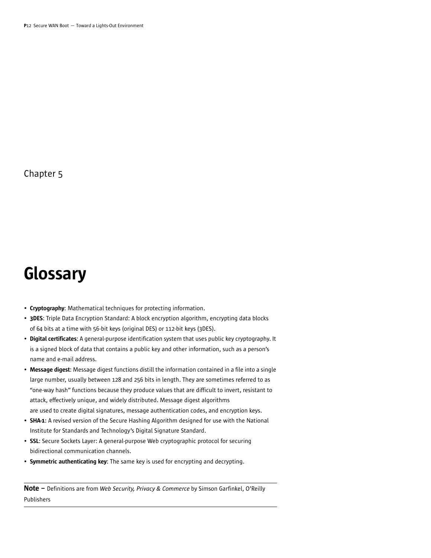# Glossary

- Cryptography: Mathematical techniques for protecting information.
- 3DES: Triple Data Encryption Standard: A block encryption algorithm, encrypting data blocks of 64 bits at a time with 56-bit keys (original DES) or 112-bit keys (3DES).
- Digital certificates: A general-purpose identification system that uses public key cryptography. It is a signed block of data that contains a public key and other information, such as a person's name and e-mail address.
- Message digest: Message digest functions distill the information contained in a file into a single large number, usually between 128 and 256 bits in length. They are sometimes referred to as "one-way hash" functions because they produce values that are difficult to invert, resistant to attack, effectively unique, and widely distributed. Message digest algorithms
- are used to create digital signatures, message authentication codes, and encryption keys.
- **SHA-1:** A revised version of the Secure Hashing Algorithm designed for use with the National Institute for Standards and Technology's Digital Signature Standard.
- SSL: Secure Sockets Layer: A general-purpose Web cryptographic protocol for securing bidirectional communication channels.
- Symmetric authenticating key: The same key is used for encrypting and decrypting.

Note – Definitions are from *Web Security, Privacy & Commerce* by Simson Garfinkel, O'Reilly Publishers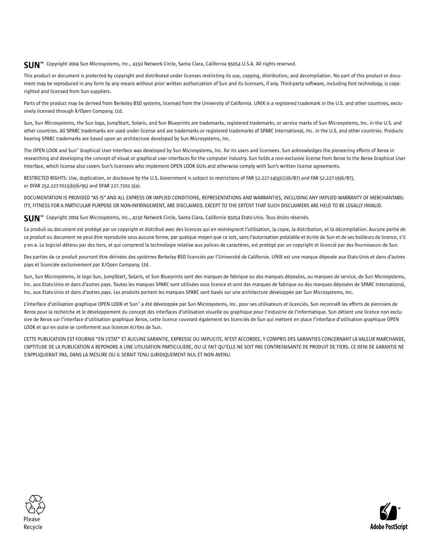## $\mathsf{SUM}^{\mathsf{m}}$  Copyright 2004 Sun Microsystems, Inc., 4150 Network Circle, Santa Clara, California 95054 U.S.A. All rights reserved.

This product or document is protected by copyright and distributed under licenses restricting its use, copying, distribution, and decompilation. No part of this product or document may be reproduced in any form by any means without prior written authorization of Sun and its licensors, if any. Third-party software, including font technology, is copyrighted and licensed from Sun suppliers.

Parts of the product may be derived from Berkeley BSD systems, licensed from the University of California. UNIX is a registered trademark in the U.S. and other countries, exclusively licensed through X/Open Company, Ltd.

Sun, Sun Microsystems, the Sun logo, JumpStart, Solaris, and Sun Blueprints are trademarks, registered trademarks, or service marks of Sun Microsystems, Inc. in the U.S. and other countries. All SPARC trademarks are used under license and are trademarks or registered trademarks of SPARC International, Inc. in the U.S. and other countries. Products bearing SPARC trademarks are based upon an architecture developed by Sun Microsystems, Inc.

The OPEN LOOK and Sun™ Graphical User Interface was developed by Sun Microsystems, Inc. for its users and licensees. Sun acknowledges the pioneering efforts of Xerox in researching and developing the concept of visual or graphical user interfaces for the computer industry. Sun holds a non-exclusive license from Xerox to the Xerox Graphical User Interface, which license also covers Sun's licensees who implement OPEN LOOK GUIs and otherwise comply with Sun's written license agreements.

RESTRICTED RIGHTS: Use, duplication, or disclosure by the U.S. Government is subject to restrictions of FAR 52.227-14(g)(2)(6/87) and FAR 52.227-19(6/87), or DFAR 252.227-7015(b)(6/95) and DFAR 227.7202-3(a).

DOCUMENTATION IS PROVIDED "AS IS" AND ALL EXPRESS OR IMPLIED CONDITIONS, REPRESENTATIONS AND WARRANTIES, INCLUDING ANY IMPLIED WARRANTY OF MERCHANTABIL-ITY, FITNESS FOR A PARTICULAR PURPOSE OR NON-INFRINGEMENT, ARE DISCLAIMED, EXCEPT TO THE EXTENT THAT SUCH DISCLAIMERS ARE HELD TO BE LEGALLY INVALID.

SUN™ Copyright 2004 Sun Microsystems, Inc., 4150 Network Circle, Santa Clara, Californie 95054 Etats-Unis. Tous droits réservés.

Ce produit ou document est protégé par un copyright et distribué avec des licences qui en restreignent l'utilisation, la copie, la distribution, et la décompilation. Aucune partie de ce produit ou document ne peut être reproduite sous aucune forme, par quelque moyen que ce soit, sans l'autorisation préalable et écrite de Sun et de ses bailleurs de licence, s'il y en a. Le logiciel détenu par des tiers, et qui comprend la technologie relative aux polices de caractères, est protégé par un copyright et licencié par des fournisseurs de Sun.

Des parties de ce produit pourront être dérivées des systèmes Berkeley BSD licenciés par l'Université de Californie. UNIX est une marque déposée aux Etats-Unis et dans d'autres pays et licenciée exclusivement par X/Open Company, Ltd.

Sun, Sun Microsystems, le logo Sun, JumpStart, Solaris, et Sun Blueprints sont des marques de fabrique ou des marques déposées, ou marques de service, de Sun Microsystems, Inc. aux Etats-Unis et dans d'autres pays. Toutes les marques SPARC sont utilisées sous licence et sont des marques de fabrique ou des marques déposées de SPARC International, Inc. aux Etats-Unis et dans d'autres pays. Les produits portant les marques SPARC sont basés sur une architecture développée par Sun Microsystems, Inc.

L'interface d'utilisation graphique OPEN LOOK et Sun™ a été développée par Sun Microsystems, Inc. pour ses utilisateurs et licenciés. Sun reconnaît les efforts de pionniers de Xerox pour la recherche et le développement du concept des interfaces d'utilisation visuelle ou graphique pour l'industrie de l'informatique. Sun détient une licence non exclusive de Xerox sur l'interface d'utilisation graphique Xerox, cette licence couvrant également les licenciés de Sun qui mettent en place l'interface d'utilisation graphique OPEN LOOK et qui en outre se conforment aux licences écrites de Sun.

CETTE PUBLICATION EST FOURNIE "EN L'ETAT" ET AUCUNE GARANTIE, EXPRESSE OU IMPLICITE, N'EST ACCORDEE, Y COMPRIS DES GARANTIES CONCERNANT LA VALEUR MARCHANDE, L'APTITUDE DE LA PUBLICATION A REPONDRE A UNE UTILISATION PARTICULIERE, OU LE FAIT QU'ELLE NE SOIT PAS CONTREFAISANTE DE PRODUIT DE TIERS. CE DENI DE GARANTIE NE S'APPLIQUERAIT PAS, DANS LA MESURE OU IL SERAIT TENU JURIDIQUEMENT NUL ET NON AVENU.